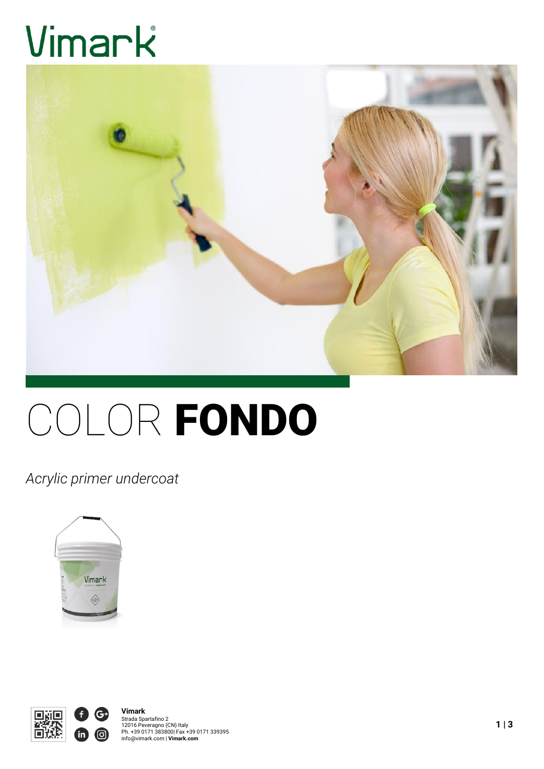# Vimark



# COLOR FONDO

*Acrylic primer undercoat*



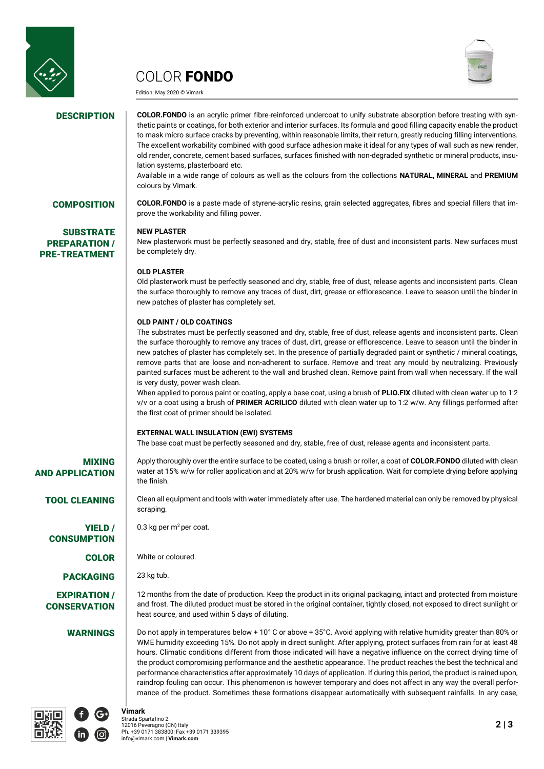

# COLOR FONDO

Edition: May 2020 © Vimark



**SUBSTRATE** PREPARATION / PRE-TREATMENT

**DESCRIPTION** COLOR.FONDO is an acrylic primer fibre-reinforced undercoat to unify substrate absorption before treating with synthetic paints or coatings, for both exterior and interior surfaces. Its formula and good filling capacity enable the product to mask micro surface cracks by preventing, within reasonable limits, their return, greatly reducing filling interventions. The excellent workability combined with good surface adhesion make it ideal for any types of wall such as new render, old render, concrete, cement based surfaces, surfaces finished with non-degraded synthetic or mineral products, insulation systems, plasterboard etc.

Available in a wide range of colours as well as the colours from the collections **NATURAL, MINERAL** and **PREMIUM** colours by Vimark.

**COMPOSITION COLOR.FONDO** is a paste made of styrene-acrylic resins, grain selected aggregates, fibres and special fillers that improve the workability and filling power.

# **NEW PLASTER**

New plasterwork must be perfectly seasoned and dry, stable, free of dust and inconsistent parts. New surfaces must be completely dry.

# **OLD PLASTER**

Old plasterwork must be perfectly seasoned and dry, stable, free of dust, release agents and inconsistent parts. Clean the surface thoroughly to remove any traces of dust, dirt, grease or efflorescence. Leave to season until the binder in new patches of plaster has completely set.

# **OLD PAINT / OLD COATINGS**

The substrates must be perfectly seasoned and dry, stable, free of dust, release agents and inconsistent parts. Clean the surface thoroughly to remove any traces of dust, dirt, grease or efflorescence. Leave to season until the binder in new patches of plaster has completely set. In the presence of partially degraded paint or synthetic / mineral coatings, remove parts that are loose and non-adherent to surface. Remove and treat any mould by neutralizing. Previously painted surfaces must be adherent to the wall and brushed clean. Remove paint from wall when necessary. If the wall is very dusty, power wash clean.

When applied to porous paint or coating, apply a base coat, using a brush of **PLIO.FIX** diluted with clean water up to 1:2 v/v or a coat using a brush of **PRIMER ACRILICO** diluted with clean water up to 1:2 w/w. Any fillings performed after the first coat of primer should be isolated.

# **EXTERNAL WALL INSULATION (EWI) SYSTEMS**

The base coat must be perfectly seasoned and dry, stable, free of dust, release agents and inconsistent parts.

# MIXING AND APPLICATION

YIELD / **CONSUMPTION** 

PACKAGING 23 kg tub.

EXPIRATION / **CONSERVATION** 

Apply thoroughly over the entire surface to be coated, using a brush or roller, a coat of **COLOR.FONDO** diluted with clean water at 15% w/w for roller application and at 20% w/w for brush application. Wait for complete drying before applying the finish.

TOOL CLEANING Clean all equipment and tools with water immediately after use. The hardened material can only be removed by physical scraping.

0.3 kg per  $m^2$  per coat.

COLOR White or coloured.

12 months from the date of production. Keep the product in its original packaging, intact and protected from moisture and frost. The diluted product must be stored in the original container, tightly closed, not exposed to direct sunlight or heat source, and used within 5 days of diluting.

WARNINGS **Do not apply in temperatures below + 10°** C or above + 35°C. Avoid applying with relative humidity greater than 80% or WME humidity exceeding 15%. Do not apply in direct sunlight. After applying, protect surfaces from rain for at least 48 hours. Climatic conditions different from those indicated will have a negative influence on the correct drying time of the product compromising performance and the aesthetic appearance. The product reaches the best the technical and performance characteristics after approximately 10 days of application. If during this period, the product is rained upon, raindrop fouling can occur. This phenomenon is however temporary and does not affect in any way the overall performance of the product. Sometimes these formations disappear automatically with subsequent rainfalls. In any case,